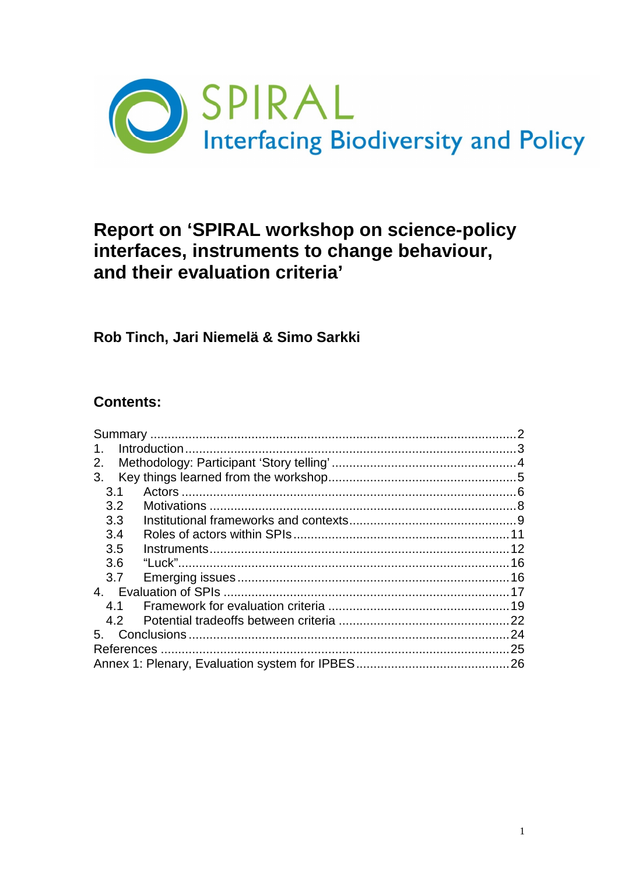

# Report on 'SPIRAL workshop on science-policy interfaces, instruments to change behaviour, and their evaluation criteria'

### Rob Tinch, Jari Niemelä & Simo Sarkki

### **Contents:**

| 1.            |  |
|---------------|--|
| 2.            |  |
| 3.            |  |
| 3.1           |  |
| $3.2^{\circ}$ |  |
| 3.3           |  |
| 3.4           |  |
| 3.5           |  |
| 3.6           |  |
| 3.7           |  |
|               |  |
| 41            |  |
| 4.2           |  |
| 5.            |  |
|               |  |
|               |  |
|               |  |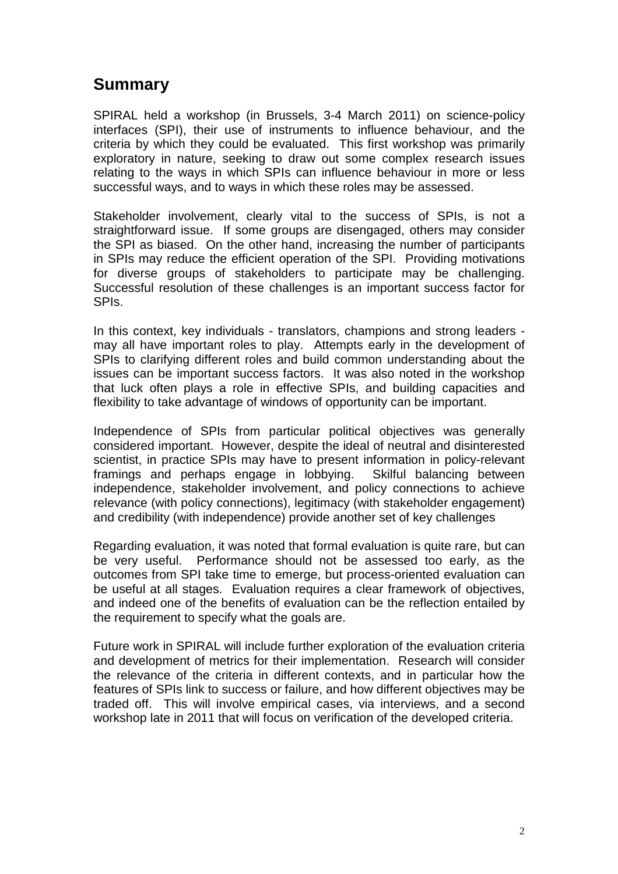## **Summary**

SPIRAL held a workshop (in Brussels, 3-4 March 2011) on science-policy interfaces (SPI), their use of instruments to influence behaviour, and the criteria by which they could be evaluated. This first workshop was primarily exploratory in nature, seeking to draw out some complex research issues relating to the ways in which SPIs can influence behaviour in more or less successful ways, and to ways in which these roles may be assessed.

Stakeholder involvement, clearly vital to the success of SPIs, is not a straightforward issue. If some groups are disengaged, others may consider the SPI as biased. On the other hand, increasing the number of participants in SPIs may reduce the efficient operation of the SPI. Providing motivations for diverse groups of stakeholders to participate may be challenging. Successful resolution of these challenges is an important success factor for SPIs.

In this context, key individuals - translators, champions and strong leaders may all have important roles to play. Attempts early in the development of SPIs to clarifying different roles and build common understanding about the issues can be important success factors. It was also noted in the workshop that luck often plays a role in effective SPIs, and building capacities and flexibility to take advantage of windows of opportunity can be important.

Independence of SPIs from particular political objectives was generally considered important. However, despite the ideal of neutral and disinterested scientist, in practice SPIs may have to present information in policy-relevant framings and perhaps engage in lobbying. Skilful balancing between independence, stakeholder involvement, and policy connections to achieve relevance (with policy connections), legitimacy (with stakeholder engagement) and credibility (with independence) provide another set of key challenges

Regarding evaluation, it was noted that formal evaluation is quite rare, but can be very useful. Performance should not be assessed too early, as the outcomes from SPI take time to emerge, but process-oriented evaluation can be useful at all stages. Evaluation requires a clear framework of objectives, and indeed one of the benefits of evaluation can be the reflection entailed by the requirement to specify what the goals are.

Future work in SPIRAL will include further exploration of the evaluation criteria and development of metrics for their implementation. Research will consider the relevance of the criteria in different contexts, and in particular how the features of SPIs link to success or failure, and how different objectives may be traded off. This will involve empirical cases, via interviews, and a second workshop late in 2011 that will focus on verification of the developed criteria.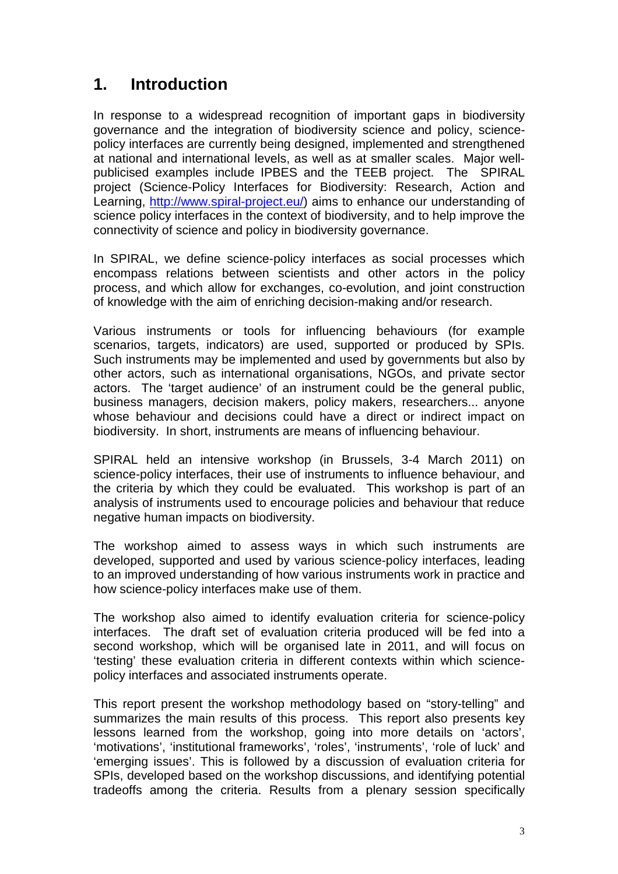## **1. Introduction**

In response to a widespread recognition of important gaps in biodiversity governance and the integration of biodiversity science and policy, sciencepolicy interfaces are currently being designed, implemented and strengthened at national and international levels, as well as at smaller scales. Major wellpublicised examples include IPBES and the TEEB project. The SPIRAL project (Science-Policy Interfaces for Biodiversity: Research, Action and Learning, http://www.spiral-project.eu/) aims to enhance our understanding of science policy interfaces in the context of biodiversity, and to help improve the connectivity of science and policy in biodiversity governance.

In SPIRAL, we define science-policy interfaces as social processes which encompass relations between scientists and other actors in the policy process, and which allow for exchanges, co-evolution, and joint construction of knowledge with the aim of enriching decision-making and/or research.

Various instruments or tools for influencing behaviours (for example scenarios, targets, indicators) are used, supported or produced by SPIs. Such instruments may be implemented and used by governments but also by other actors, such as international organisations, NGOs, and private sector actors. The 'target audience' of an instrument could be the general public, business managers, decision makers, policy makers, researchers... anyone whose behaviour and decisions could have a direct or indirect impact on biodiversity. In short, instruments are means of influencing behaviour.

SPIRAL held an intensive workshop (in Brussels, 3-4 March 2011) on science-policy interfaces, their use of instruments to influence behaviour, and the criteria by which they could be evaluated. This workshop is part of an analysis of instruments used to encourage policies and behaviour that reduce negative human impacts on biodiversity.

The workshop aimed to assess ways in which such instruments are developed, supported and used by various science-policy interfaces, leading to an improved understanding of how various instruments work in practice and how science-policy interfaces make use of them.

The workshop also aimed to identify evaluation criteria for science-policy interfaces. The draft set of evaluation criteria produced will be fed into a second workshop, which will be organised late in 2011, and will focus on 'testing' these evaluation criteria in different contexts within which sciencepolicy interfaces and associated instruments operate.

This report present the workshop methodology based on "story-telling" and summarizes the main results of this process. This report also presents key lessons learned from the workshop, going into more details on 'actors', 'motivations', 'institutional frameworks', 'roles', 'instruments', 'role of luck' and 'emerging issues'. This is followed by a discussion of evaluation criteria for SPIs, developed based on the workshop discussions, and identifying potential tradeoffs among the criteria. Results from a plenary session specifically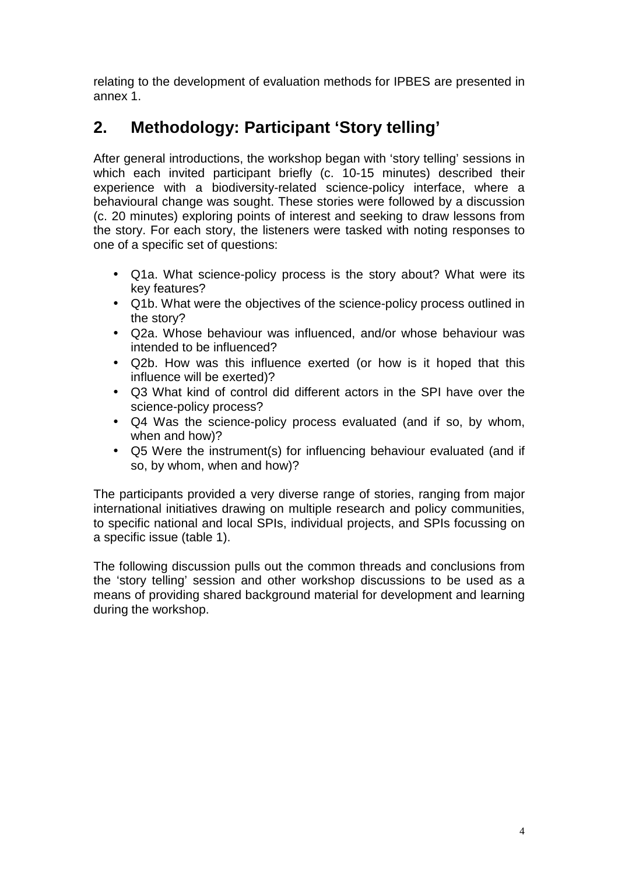relating to the development of evaluation methods for IPBES are presented in annex 1.

# **2. Methodology: Participant 'Story telling'**

After general introductions, the workshop began with 'story telling' sessions in which each invited participant briefly (c. 10-15 minutes) described their experience with a biodiversity-related science-policy interface, where a behavioural change was sought. These stories were followed by a discussion (c. 20 minutes) exploring points of interest and seeking to draw lessons from the story. For each story, the listeners were tasked with noting responses to one of a specific set of questions:

- Q1a. What science-policy process is the story about? What were its key features?
- Q1b. What were the objectives of the science-policy process outlined in the story?
- Q2a. Whose behaviour was influenced, and/or whose behaviour was intended to be influenced?
- Q2b. How was this influence exerted (or how is it hoped that this influence will be exerted)?
- Q3 What kind of control did different actors in the SPI have over the science-policy process?
- Q4 Was the science-policy process evaluated (and if so, by whom, when and how)?
- Q5 Were the instrument(s) for influencing behaviour evaluated (and if so, by whom, when and how)?

The participants provided a very diverse range of stories, ranging from major international initiatives drawing on multiple research and policy communities, to specific national and local SPIs, individual projects, and SPIs focussing on a specific issue (table 1).

The following discussion pulls out the common threads and conclusions from the 'story telling' session and other workshop discussions to be used as a means of providing shared background material for development and learning during the workshop.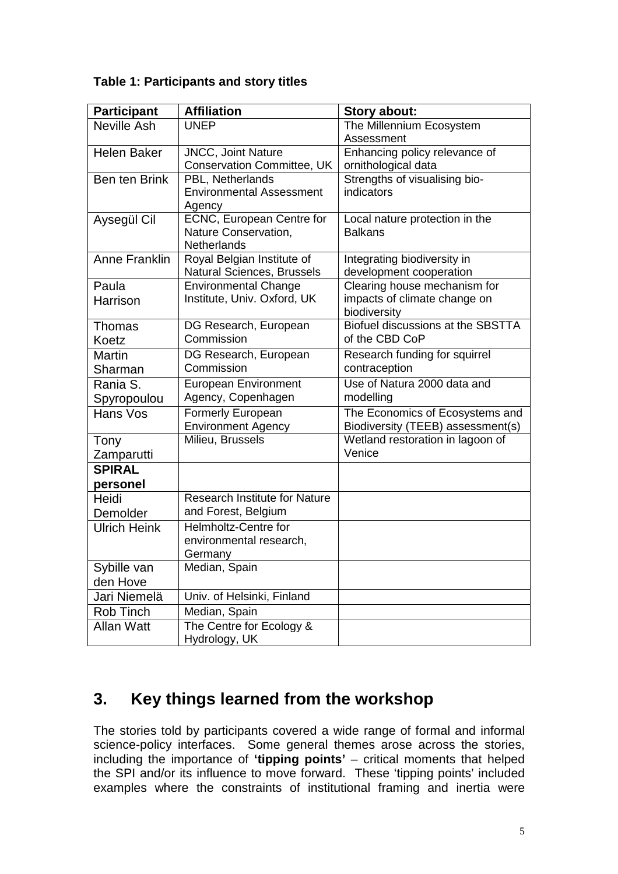#### **Table 1: Participants and story titles**

| <b>Participant</b>      | <b>Affiliation</b>                                          | Story about:                                                         |
|-------------------------|-------------------------------------------------------------|----------------------------------------------------------------------|
| Neville Ash             | <b>UNEP</b>                                                 | The Millennium Ecosystem                                             |
|                         |                                                             | Assessment                                                           |
| <b>Helen Baker</b>      | <b>JNCC, Joint Nature</b>                                   | Enhancing policy relevance of                                        |
|                         | <b>Conservation Committee, UK</b>                           | ornithological data                                                  |
| Ben ten Brink           | PBL, Netherlands                                            | Strengths of visualising bio-                                        |
|                         | <b>Environmental Assessment</b>                             | indicators                                                           |
|                         | Agency                                                      |                                                                      |
| Aysegül Cil             | <b>ECNC, European Centre for</b>                            | Local nature protection in the                                       |
|                         | Nature Conservation,                                        | <b>Balkans</b>                                                       |
|                         | <b>Netherlands</b>                                          |                                                                      |
| <b>Anne Franklin</b>    | Royal Belgian Institute of                                  | Integrating biodiversity in<br>development cooperation               |
|                         | Natural Sciences, Brussels                                  | Clearing house mechanism for                                         |
| Paula                   | <b>Environmental Change</b><br>Institute, Univ. Oxford, UK  | impacts of climate change on                                         |
| Harrison                |                                                             | biodiversity                                                         |
| Thomas                  | DG Research, European                                       | Biofuel discussions at the SBSTTA                                    |
| Koetz                   | Commission                                                  | of the CBD CoP                                                       |
| Martin                  | DG Research, European                                       | Research funding for squirrel                                        |
| Sharman                 | Commission                                                  | contraception                                                        |
| Rania S.                | <b>European Environment</b>                                 | Use of Natura 2000 data and                                          |
|                         | Agency, Copenhagen                                          | modelling                                                            |
| Spyropoulou<br>Hans Vos |                                                             |                                                                      |
|                         | Formerly European<br><b>Environment Agency</b>              | The Economics of Ecosystems and<br>Biodiversity (TEEB) assessment(s) |
|                         | Milieu, Brussels                                            | Wetland restoration in lagoon of                                     |
| Tony<br>Zamparutti      |                                                             | Venice                                                               |
| <b>SPIRAL</b>           |                                                             |                                                                      |
|                         |                                                             |                                                                      |
| personel                |                                                             |                                                                      |
| Heidi                   | <b>Research Institute for Nature</b><br>and Forest, Belgium |                                                                      |
| Demolder                |                                                             |                                                                      |
| <b>Ulrich Heink</b>     | <b>Helmholtz-Centre for</b>                                 |                                                                      |
|                         | environmental research,                                     |                                                                      |
|                         | Germany                                                     |                                                                      |
| Sybille van             | Median, Spain                                               |                                                                      |
| den Hove                |                                                             |                                                                      |
| Jari Niemelä            | Univ. of Helsinki, Finland                                  |                                                                      |
| Rob Tinch               | Median, Spain                                               |                                                                      |
| <b>Allan Watt</b>       | The Centre for Ecology &                                    |                                                                      |
|                         | Hydrology, UK                                               |                                                                      |

# **3. Key things learned from the workshop**

The stories told by participants covered a wide range of formal and informal science-policy interfaces. Some general themes arose across the stories, including the importance of **'tipping points'** – critical moments that helped the SPI and/or its influence to move forward. These 'tipping points' included examples where the constraints of institutional framing and inertia were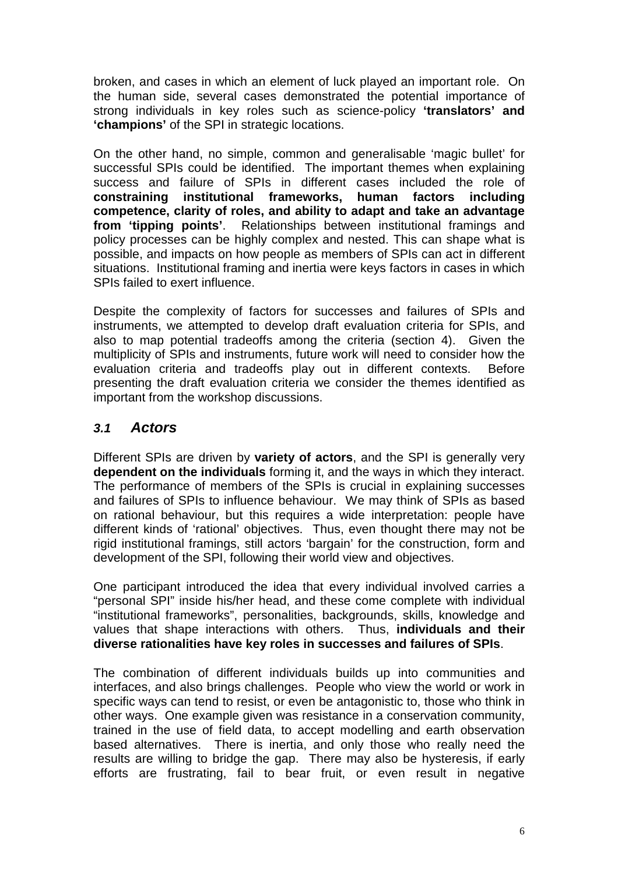broken, and cases in which an element of luck played an important role. On the human side, several cases demonstrated the potential importance of strong individuals in key roles such as science-policy **'translators' and 'champions'** of the SPI in strategic locations.

On the other hand, no simple, common and generalisable 'magic bullet' for successful SPIs could be identified. The important themes when explaining success and failure of SPIs in different cases included the role of **constraining institutional frameworks, human factors including competence, clarity of roles, and ability to adapt and take an advantage from 'tipping points'**. Relationships between institutional framings and policy processes can be highly complex and nested. This can shape what is possible, and impacts on how people as members of SPIs can act in different situations. Institutional framing and inertia were keys factors in cases in which SPIs failed to exert influence.

Despite the complexity of factors for successes and failures of SPIs and instruments, we attempted to develop draft evaluation criteria for SPIs, and also to map potential tradeoffs among the criteria (section 4). Given the multiplicity of SPIs and instruments, future work will need to consider how the evaluation criteria and tradeoffs play out in different contexts. Before presenting the draft evaluation criteria we consider the themes identified as important from the workshop discussions.

### **3.1 Actors**

Different SPIs are driven by **variety of actors**, and the SPI is generally very **dependent on the individuals** forming it, and the ways in which they interact. The performance of members of the SPIs is crucial in explaining successes and failures of SPIs to influence behaviour. We may think of SPIs as based on rational behaviour, but this requires a wide interpretation: people have different kinds of 'rational' objectives. Thus, even thought there may not be rigid institutional framings, still actors 'bargain' for the construction, form and development of the SPI, following their world view and objectives.

One participant introduced the idea that every individual involved carries a "personal SPI" inside his/her head, and these come complete with individual "institutional frameworks", personalities, backgrounds, skills, knowledge and values that shape interactions with others. Thus, **individuals and their diverse rationalities have key roles in successes and failures of SPIs**.

The combination of different individuals builds up into communities and interfaces, and also brings challenges. People who view the world or work in specific ways can tend to resist, or even be antagonistic to, those who think in other ways. One example given was resistance in a conservation community, trained in the use of field data, to accept modelling and earth observation based alternatives. There is inertia, and only those who really need the results are willing to bridge the gap. There may also be hysteresis, if early efforts are frustrating, fail to bear fruit, or even result in negative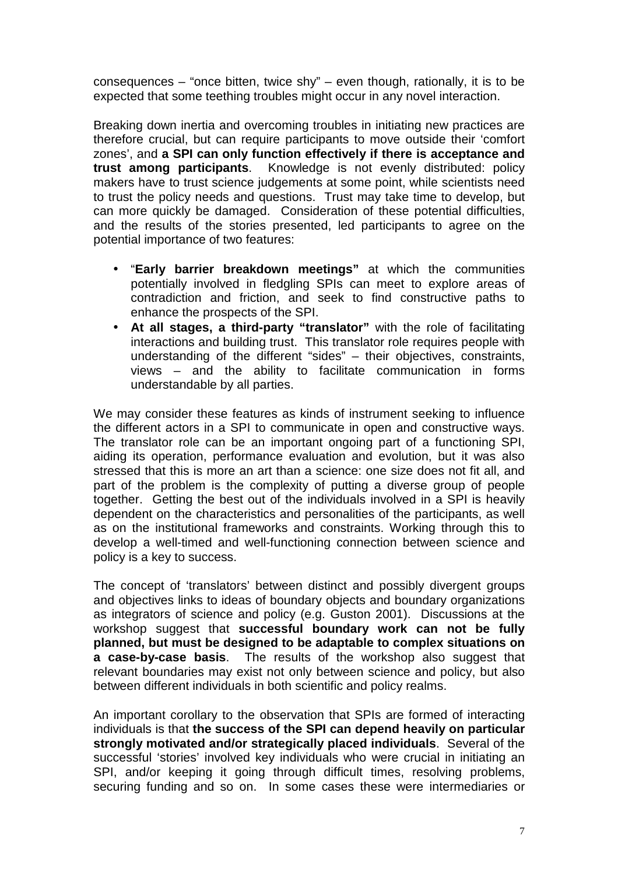consequences – "once bitten, twice shy" – even though, rationally, it is to be expected that some teething troubles might occur in any novel interaction.

Breaking down inertia and overcoming troubles in initiating new practices are therefore crucial, but can require participants to move outside their 'comfort zones', and **a SPI can only function effectively if there is acceptance and trust among participants**. Knowledge is not evenly distributed: policy makers have to trust science judgements at some point, while scientists need to trust the policy needs and questions. Trust may take time to develop, but can more quickly be damaged. Consideration of these potential difficulties, and the results of the stories presented, led participants to agree on the potential importance of two features:

- "**Early barrier breakdown meetings"** at which the communities potentially involved in fledgling SPIs can meet to explore areas of contradiction and friction, and seek to find constructive paths to enhance the prospects of the SPI.
- **At all stages, a third-party "translator"** with the role of facilitating interactions and building trust. This translator role requires people with understanding of the different "sides" – their objectives, constraints, views – and the ability to facilitate communication in forms understandable by all parties.

We may consider these features as kinds of instrument seeking to influence the different actors in a SPI to communicate in open and constructive ways. The translator role can be an important ongoing part of a functioning SPI, aiding its operation, performance evaluation and evolution, but it was also stressed that this is more an art than a science: one size does not fit all, and part of the problem is the complexity of putting a diverse group of people together. Getting the best out of the individuals involved in a SPI is heavily dependent on the characteristics and personalities of the participants, as well as on the institutional frameworks and constraints. Working through this to develop a well-timed and well-functioning connection between science and policy is a key to success.

The concept of 'translators' between distinct and possibly divergent groups and objectives links to ideas of boundary objects and boundary organizations as integrators of science and policy (e.g. Guston 2001). Discussions at the workshop suggest that **successful boundary work can not be fully planned, but must be designed to be adaptable to complex situations on a case-by-case basis**. The results of the workshop also suggest that relevant boundaries may exist not only between science and policy, but also between different individuals in both scientific and policy realms.

An important corollary to the observation that SPIs are formed of interacting individuals is that **the success of the SPI can depend heavily on particular strongly motivated and/or strategically placed individuals**. Several of the successful 'stories' involved key individuals who were crucial in initiating an SPI, and/or keeping it going through difficult times, resolving problems. securing funding and so on. In some cases these were intermediaries or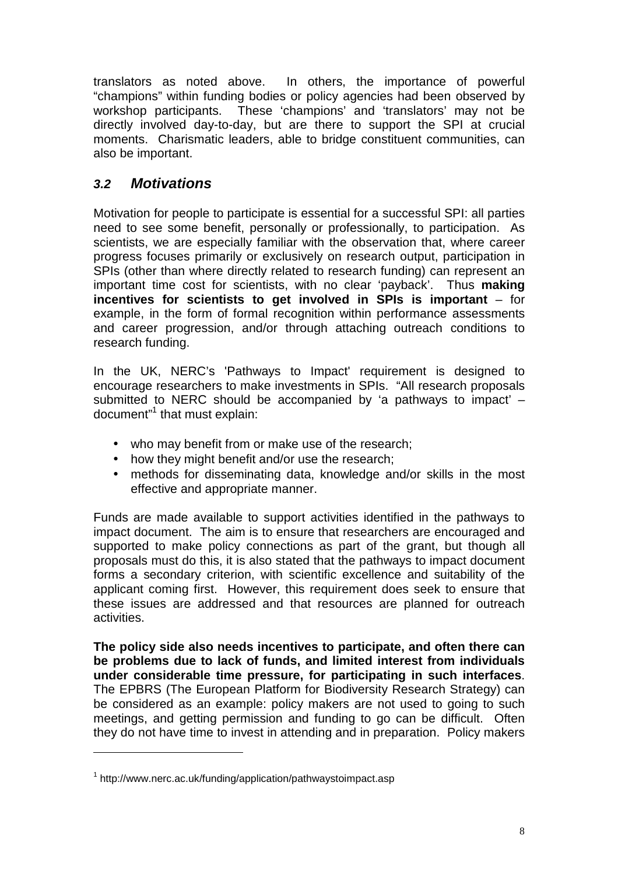translators as noted above. In others, the importance of powerful "champions" within funding bodies or policy agencies had been observed by workshop participants. These 'champions' and 'translators' may not be directly involved day-to-day, but are there to support the SPI at crucial moments. Charismatic leaders, able to bridge constituent communities, can also be important.

### **3.2 Motivations**

Motivation for people to participate is essential for a successful SPI: all parties need to see some benefit, personally or professionally, to participation. As scientists, we are especially familiar with the observation that, where career progress focuses primarily or exclusively on research output, participation in SPIs (other than where directly related to research funding) can represent an important time cost for scientists, with no clear 'payback'. Thus **making incentives for scientists to get involved in SPIs is important** – for example, in the form of formal recognition within performance assessments and career progression, and/or through attaching outreach conditions to research funding.

In the UK, NERC's 'Pathways to Impact' requirement is designed to encourage researchers to make investments in SPIs. "All research proposals submitted to NERC should be accompanied by 'a pathways to impact' – document"<sup>1</sup> that must explain:

- who may benefit from or make use of the research;
- how they might benefit and/or use the research;
- methods for disseminating data, knowledge and/or skills in the most effective and appropriate manner.

Funds are made available to support activities identified in the pathways to impact document. The aim is to ensure that researchers are encouraged and supported to make policy connections as part of the grant, but though all proposals must do this, it is also stated that the pathways to impact document forms a secondary criterion, with scientific excellence and suitability of the applicant coming first. However, this requirement does seek to ensure that these issues are addressed and that resources are planned for outreach activities.

**The policy side also needs incentives to participate, and often there can be problems due to lack of funds, and limited interest from individuals under considerable time pressure, for participating in such interfaces**. The EPBRS (The European Platform for Biodiversity Research Strategy) can be considered as an example: policy makers are not used to going to such meetings, and getting permission and funding to go can be difficult. Often they do not have time to invest in attending and in preparation. Policy makers

 $\overline{a}$ 

<sup>&</sup>lt;sup>1</sup> http://www.nerc.ac.uk/funding/application/pathwaystoimpact.asp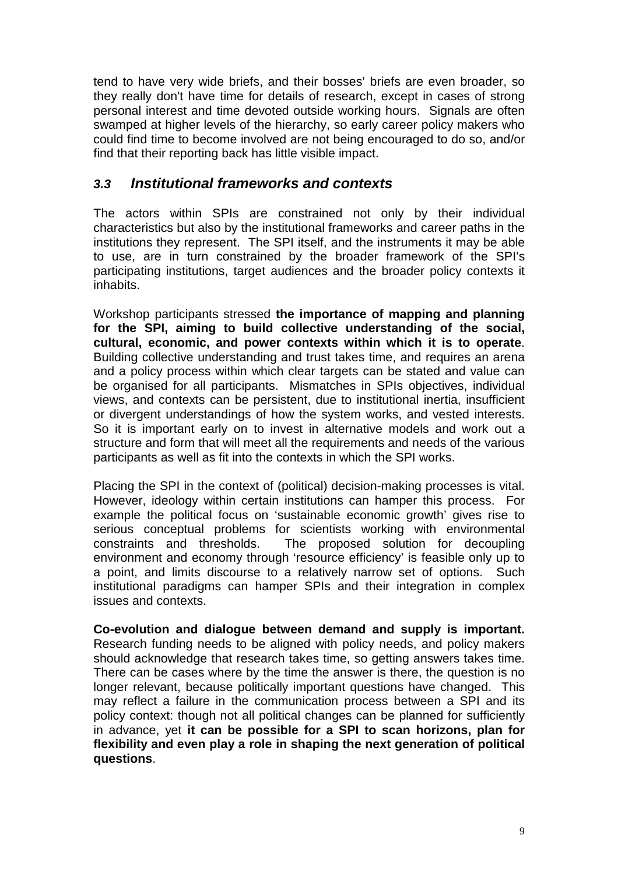tend to have very wide briefs, and their bosses' briefs are even broader, so they really don't have time for details of research, except in cases of strong personal interest and time devoted outside working hours. Signals are often swamped at higher levels of the hierarchy, so early career policy makers who could find time to become involved are not being encouraged to do so, and/or find that their reporting back has little visible impact.

### **3.3 Institutional frameworks and contexts**

The actors within SPIs are constrained not only by their individual characteristics but also by the institutional frameworks and career paths in the institutions they represent. The SPI itself, and the instruments it may be able to use, are in turn constrained by the broader framework of the SPI's participating institutions, target audiences and the broader policy contexts it inhabits.

Workshop participants stressed **the importance of mapping and planning for the SPI, aiming to build collective understanding of the social, cultural, economic, and power contexts within which it is to operate**. Building collective understanding and trust takes time, and requires an arena and a policy process within which clear targets can be stated and value can be organised for all participants. Mismatches in SPIs objectives, individual views, and contexts can be persistent, due to institutional inertia, insufficient or divergent understandings of how the system works, and vested interests. So it is important early on to invest in alternative models and work out a structure and form that will meet all the requirements and needs of the various participants as well as fit into the contexts in which the SPI works.

Placing the SPI in the context of (political) decision-making processes is vital. However, ideology within certain institutions can hamper this process. For example the political focus on 'sustainable economic growth' gives rise to serious conceptual problems for scientists working with environmental constraints and thresholds. The proposed solution for decoupling environment and economy through 'resource efficiency' is feasible only up to a point, and limits discourse to a relatively narrow set of options. Such institutional paradigms can hamper SPIs and their integration in complex issues and contexts.

**Co-evolution and dialogue between demand and supply is important.** Research funding needs to be aligned with policy needs, and policy makers should acknowledge that research takes time, so getting answers takes time. There can be cases where by the time the answer is there, the question is no longer relevant, because politically important questions have changed. This may reflect a failure in the communication process between a SPI and its policy context: though not all political changes can be planned for sufficiently in advance, yet **it can be possible for a SPI to scan horizons, plan for flexibility and even play a role in shaping the next generation of political questions**.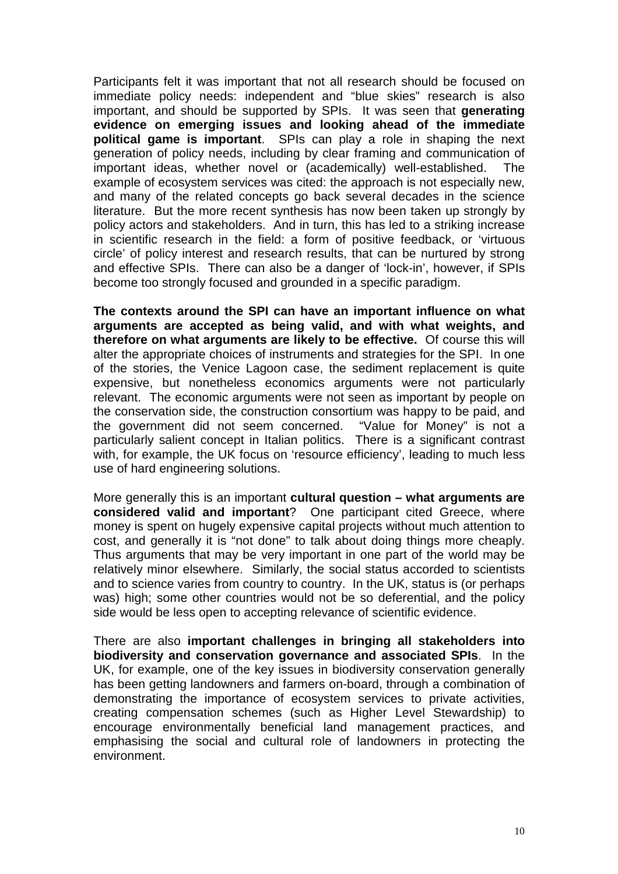Participants felt it was important that not all research should be focused on immediate policy needs: independent and "blue skies" research is also important, and should be supported by SPIs. It was seen that **generating evidence on emerging issues and looking ahead of the immediate political game is important**. SPIs can play a role in shaping the next generation of policy needs, including by clear framing and communication of important ideas, whether novel or (academically) well-established. The example of ecosystem services was cited: the approach is not especially new, and many of the related concepts go back several decades in the science literature. But the more recent synthesis has now been taken up strongly by policy actors and stakeholders. And in turn, this has led to a striking increase in scientific research in the field: a form of positive feedback, or 'virtuous circle' of policy interest and research results, that can be nurtured by strong and effective SPIs. There can also be a danger of 'lock-in', however, if SPIs become too strongly focused and grounded in a specific paradigm.

**The contexts around the SPI can have an important influence on what arguments are accepted as being valid, and with what weights, and therefore on what arguments are likely to be effective.** Of course this will alter the appropriate choices of instruments and strategies for the SPI. In one of the stories, the Venice Lagoon case, the sediment replacement is quite expensive, but nonetheless economics arguments were not particularly relevant. The economic arguments were not seen as important by people on the conservation side, the construction consortium was happy to be paid, and the government did not seem concerned. "Value for Money" is not a particularly salient concept in Italian politics. There is a significant contrast with, for example, the UK focus on 'resource efficiency', leading to much less use of hard engineering solutions.

More generally this is an important **cultural question – what arguments are considered valid and important**? One participant cited Greece, where money is spent on hugely expensive capital projects without much attention to cost, and generally it is "not done" to talk about doing things more cheaply. Thus arguments that may be very important in one part of the world may be relatively minor elsewhere. Similarly, the social status accorded to scientists and to science varies from country to country. In the UK, status is (or perhaps was) high; some other countries would not be so deferential, and the policy side would be less open to accepting relevance of scientific evidence.

There are also **important challenges in bringing all stakeholders into biodiversity and conservation governance and associated SPIs**. In the UK, for example, one of the key issues in biodiversity conservation generally has been getting landowners and farmers on-board, through a combination of demonstrating the importance of ecosystem services to private activities, creating compensation schemes (such as Higher Level Stewardship) to encourage environmentally beneficial land management practices, and emphasising the social and cultural role of landowners in protecting the environment.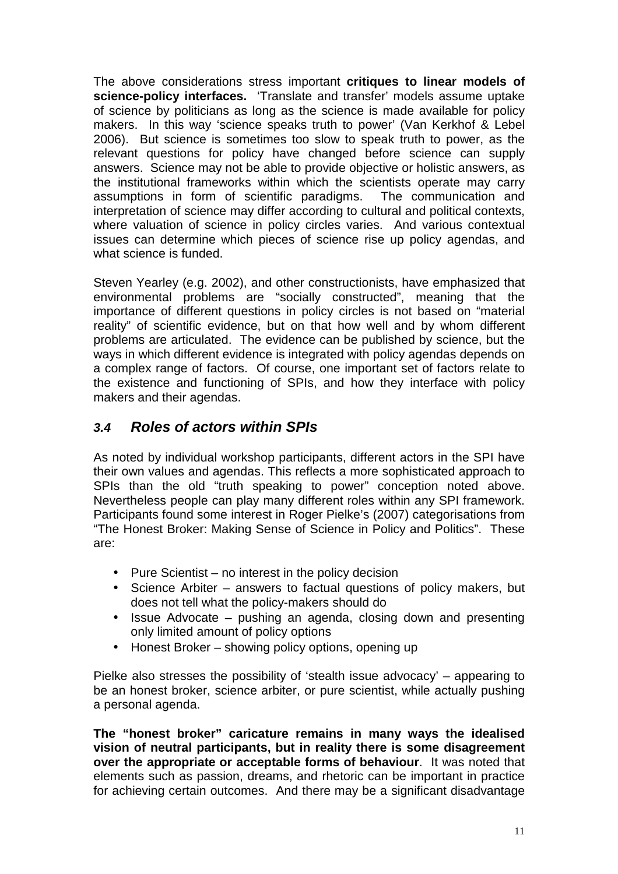The above considerations stress important **critiques to linear models of science-policy interfaces.** 'Translate and transfer' models assume uptake of science by politicians as long as the science is made available for policy makers. In this way 'science speaks truth to power' (Van Kerkhof & Lebel 2006). But science is sometimes too slow to speak truth to power, as the relevant questions for policy have changed before science can supply answers. Science may not be able to provide objective or holistic answers, as the institutional frameworks within which the scientists operate may carry assumptions in form of scientific paradigms. The communication and interpretation of science may differ according to cultural and political contexts, where valuation of science in policy circles varies. And various contextual issues can determine which pieces of science rise up policy agendas, and what science is funded.

Steven Yearley (e.g. 2002), and other constructionists, have emphasized that environmental problems are "socially constructed", meaning that the importance of different questions in policy circles is not based on "material reality" of scientific evidence, but on that how well and by whom different problems are articulated. The evidence can be published by science, but the ways in which different evidence is integrated with policy agendas depends on a complex range of factors. Of course, one important set of factors relate to the existence and functioning of SPIs, and how they interface with policy makers and their agendas.

### **3.4 Roles of actors within SPIs**

As noted by individual workshop participants, different actors in the SPI have their own values and agendas. This reflects a more sophisticated approach to SPIs than the old "truth speaking to power" conception noted above. Nevertheless people can play many different roles within any SPI framework. Participants found some interest in Roger Pielke's (2007) categorisations from "The Honest Broker: Making Sense of Science in Policy and Politics". These are:

- Pure Scientist no interest in the policy decision
- Science Arbiter answers to factual questions of policy makers, but does not tell what the policy-makers should do
- Issue Advocate pushing an agenda, closing down and presenting only limited amount of policy options
- Honest Broker showing policy options, opening up

Pielke also stresses the possibility of 'stealth issue advocacy' – appearing to be an honest broker, science arbiter, or pure scientist, while actually pushing a personal agenda.

**The "honest broker" caricature remains in many ways the idealised vision of neutral participants, but in reality there is some disagreement over the appropriate or acceptable forms of behaviour**. It was noted that elements such as passion, dreams, and rhetoric can be important in practice for achieving certain outcomes. And there may be a significant disadvantage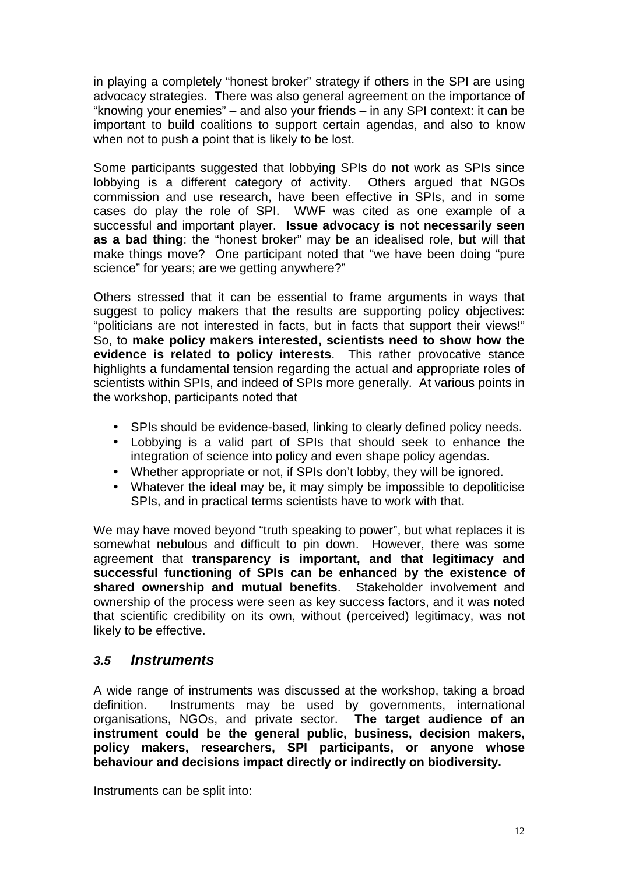in playing a completely "honest broker" strategy if others in the SPI are using advocacy strategies. There was also general agreement on the importance of "knowing your enemies" – and also your friends – in any SPI context: it can be important to build coalitions to support certain agendas, and also to know when not to push a point that is likely to be lost.

Some participants suggested that lobbying SPIs do not work as SPIs since lobbying is a different category of activity. Others argued that NGOs commission and use research, have been effective in SPIs, and in some cases do play the role of SPI. WWF was cited as one example of a successful and important player. **Issue advocacy is not necessarily seen as a bad thing**: the "honest broker" may be an idealised role, but will that make things move? One participant noted that "we have been doing "pure science" for years; are we getting anywhere?"

Others stressed that it can be essential to frame arguments in ways that suggest to policy makers that the results are supporting policy objectives: "politicians are not interested in facts, but in facts that support their views!" So, to **make policy makers interested, scientists need to show how the evidence is related to policy interests**. This rather provocative stance highlights a fundamental tension regarding the actual and appropriate roles of scientists within SPIs, and indeed of SPIs more generally. At various points in the workshop, participants noted that

- SPIs should be evidence-based, linking to clearly defined policy needs.
- Lobbying is a valid part of SPIs that should seek to enhance the integration of science into policy and even shape policy agendas.
- Whether appropriate or not, if SPIs don't lobby, they will be ignored.
- Whatever the ideal may be, it may simply be impossible to depoliticise SPIs, and in practical terms scientists have to work with that.

We may have moved beyond "truth speaking to power", but what replaces it is somewhat nebulous and difficult to pin down. However, there was some agreement that **transparency is important, and that legitimacy and successful functioning of SPIs can be enhanced by the existence of shared ownership and mutual benefits**. Stakeholder involvement and ownership of the process were seen as key success factors, and it was noted that scientific credibility on its own, without (perceived) legitimacy, was not likely to be effective.

### **3.5 Instruments**

A wide range of instruments was discussed at the workshop, taking a broad definition. Instruments may be used by governments, international organisations, NGOs, and private sector. **The target audience of an instrument could be the general public, business, decision makers, policy makers, researchers, SPI participants, or anyone whose behaviour and decisions impact directly or indirectly on biodiversity.** 

Instruments can be split into: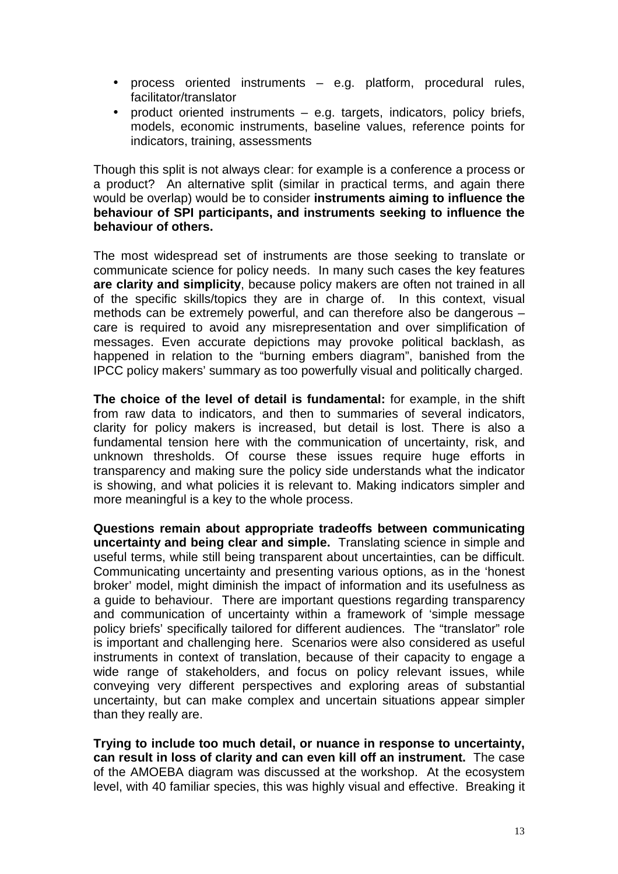- process oriented instruments e.g. platform, procedural rules, facilitator/translator
- product oriented instruments e.g. targets, indicators, policy briefs, models, economic instruments, baseline values, reference points for indicators, training, assessments

Though this split is not always clear: for example is a conference a process or a product? An alternative split (similar in practical terms, and again there would be overlap) would be to consider **instruments aiming to influence the behaviour of SPI participants, and instruments seeking to influence the behaviour of others.** 

The most widespread set of instruments are those seeking to translate or communicate science for policy needs. In many such cases the key features **are clarity and simplicity**, because policy makers are often not trained in all of the specific skills/topics they are in charge of. In this context, visual methods can be extremely powerful, and can therefore also be dangerous – care is required to avoid any misrepresentation and over simplification of messages. Even accurate depictions may provoke political backlash, as happened in relation to the "burning embers diagram", banished from the IPCC policy makers' summary as too powerfully visual and politically charged.

**The choice of the level of detail is fundamental:** for example, in the shift from raw data to indicators, and then to summaries of several indicators, clarity for policy makers is increased, but detail is lost. There is also a fundamental tension here with the communication of uncertainty, risk, and unknown thresholds. Of course these issues require huge efforts in transparency and making sure the policy side understands what the indicator is showing, and what policies it is relevant to. Making indicators simpler and more meaningful is a key to the whole process.

**Questions remain about appropriate tradeoffs between communicating uncertainty and being clear and simple.** Translating science in simple and useful terms, while still being transparent about uncertainties, can be difficult. Communicating uncertainty and presenting various options, as in the 'honest broker' model, might diminish the impact of information and its usefulness as a guide to behaviour. There are important questions regarding transparency and communication of uncertainty within a framework of 'simple message policy briefs' specifically tailored for different audiences. The "translator" role is important and challenging here. Scenarios were also considered as useful instruments in context of translation, because of their capacity to engage a wide range of stakeholders, and focus on policy relevant issues, while conveying very different perspectives and exploring areas of substantial uncertainty, but can make complex and uncertain situations appear simpler than they really are.

**Trying to include too much detail, or nuance in response to uncertainty, can result in loss of clarity and can even kill off an instrument.** The case of the AMOEBA diagram was discussed at the workshop. At the ecosystem level, with 40 familiar species, this was highly visual and effective. Breaking it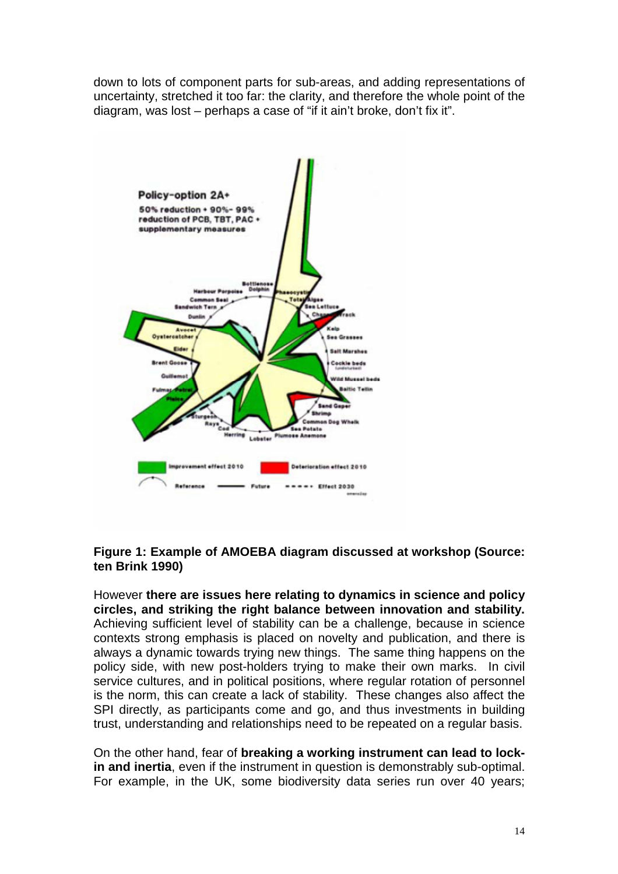down to lots of component parts for sub-areas, and adding representations of uncertainty, stretched it too far: the clarity, and therefore the whole point of the diagram, was lost – perhaps a case of "if it ain't broke, don't fix it".



#### **Figure 1: Example of AMOEBA diagram discussed at workshop (Source: ten Brink 1990)**

However **there are issues here relating to dynamics in science and policy circles, and striking the right balance between innovation and stability.** Achieving sufficient level of stability can be a challenge, because in science contexts strong emphasis is placed on novelty and publication, and there is always a dynamic towards trying new things. The same thing happens on the policy side, with new post-holders trying to make their own marks. In civil service cultures, and in political positions, where regular rotation of personnel is the norm, this can create a lack of stability. These changes also affect the SPI directly, as participants come and go, and thus investments in building trust, understanding and relationships need to be repeated on a regular basis.

On the other hand, fear of **breaking a working instrument can lead to lockin and inertia**, even if the instrument in question is demonstrably sub-optimal. For example, in the UK, some biodiversity data series run over 40 years;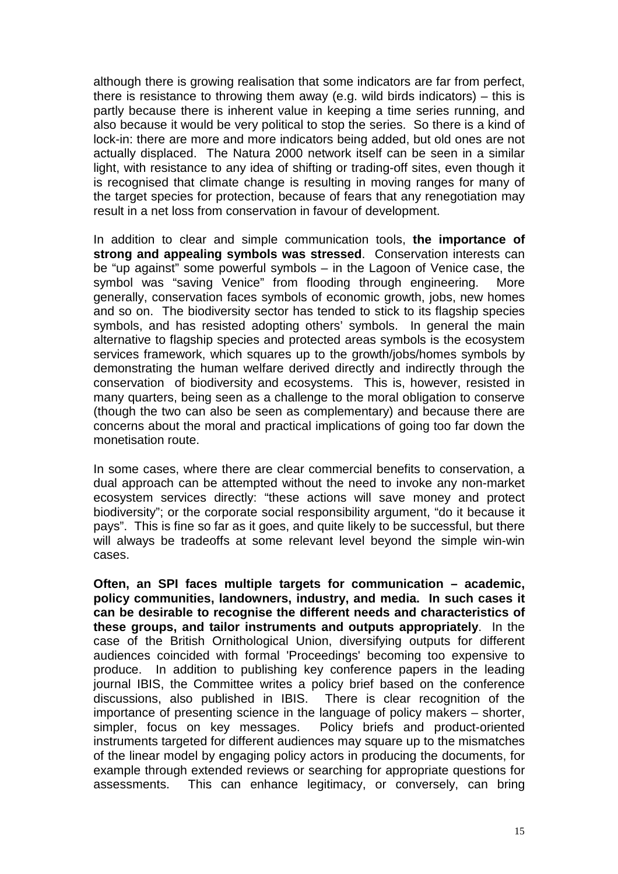although there is growing realisation that some indicators are far from perfect, there is resistance to throwing them away (e.g. wild birds indicators) – this is partly because there is inherent value in keeping a time series running, and also because it would be very political to stop the series. So there is a kind of lock-in: there are more and more indicators being added, but old ones are not actually displaced. The Natura 2000 network itself can be seen in a similar light, with resistance to any idea of shifting or trading-off sites, even though it is recognised that climate change is resulting in moving ranges for many of the target species for protection, because of fears that any renegotiation may result in a net loss from conservation in favour of development.

In addition to clear and simple communication tools, **the importance of strong and appealing symbols was stressed**. Conservation interests can be "up against" some powerful symbols – in the Lagoon of Venice case, the symbol was "saving Venice" from flooding through engineering. More generally, conservation faces symbols of economic growth, jobs, new homes and so on. The biodiversity sector has tended to stick to its flagship species symbols, and has resisted adopting others' symbols. In general the main alternative to flagship species and protected areas symbols is the ecosystem services framework, which squares up to the growth/jobs/homes symbols by demonstrating the human welfare derived directly and indirectly through the conservation of biodiversity and ecosystems. This is, however, resisted in many quarters, being seen as a challenge to the moral obligation to conserve (though the two can also be seen as complementary) and because there are concerns about the moral and practical implications of going too far down the monetisation route.

In some cases, where there are clear commercial benefits to conservation, a dual approach can be attempted without the need to invoke any non-market ecosystem services directly: "these actions will save money and protect biodiversity"; or the corporate social responsibility argument, "do it because it pays". This is fine so far as it goes, and quite likely to be successful, but there will always be tradeoffs at some relevant level beyond the simple win-win cases.

**Often, an SPI faces multiple targets for communication – academic, policy communities, landowners, industry, and media. In such cases it can be desirable to recognise the different needs and characteristics of these groups, and tailor instruments and outputs appropriately**. In the case of the British Ornithological Union, diversifying outputs for different audiences coincided with formal 'Proceedings' becoming too expensive to produce. In addition to publishing key conference papers in the leading journal IBIS, the Committee writes a policy brief based on the conference discussions, also published in IBIS. There is clear recognition of the importance of presenting science in the language of policy makers – shorter, simpler, focus on key messages. Policy briefs and product-oriented instruments targeted for different audiences may square up to the mismatches of the linear model by engaging policy actors in producing the documents, for example through extended reviews or searching for appropriate questions for assessments. This can enhance legitimacy, or conversely, can bring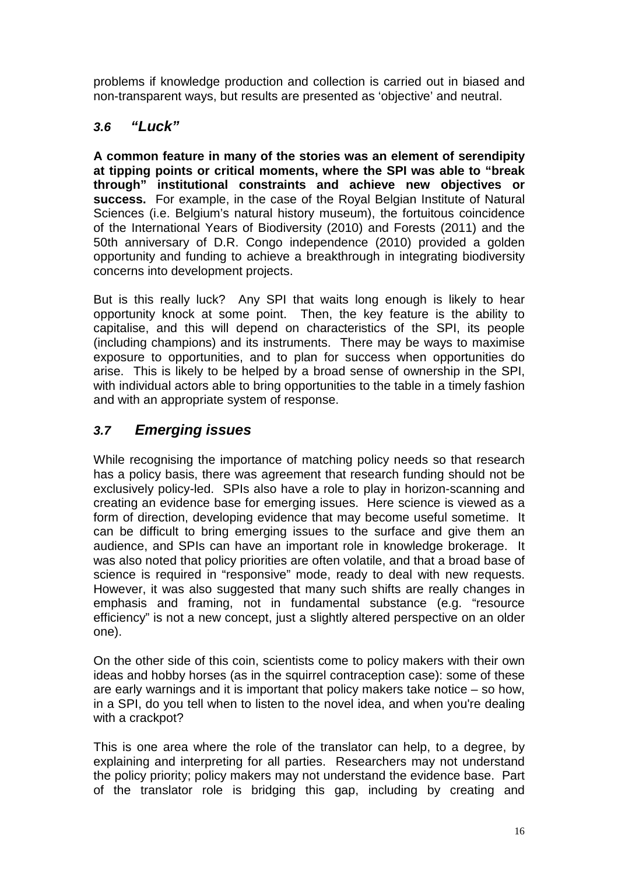problems if knowledge production and collection is carried out in biased and non-transparent ways, but results are presented as 'objective' and neutral.

### **3.6 "Luck"**

**A common feature in many of the stories was an element of serendipity at tipping points or critical moments, where the SPI was able to "break through" institutional constraints and achieve new objectives or success.** For example, in the case of the Royal Belgian Institute of Natural Sciences (i.e. Belgium's natural history museum), the fortuitous coincidence of the International Years of Biodiversity (2010) and Forests (2011) and the 50th anniversary of D.R. Congo independence (2010) provided a golden opportunity and funding to achieve a breakthrough in integrating biodiversity concerns into development projects.

But is this really luck? Any SPI that waits long enough is likely to hear opportunity knock at some point. Then, the key feature is the ability to capitalise, and this will depend on characteristics of the SPI, its people (including champions) and its instruments. There may be ways to maximise exposure to opportunities, and to plan for success when opportunities do arise. This is likely to be helped by a broad sense of ownership in the SPI, with individual actors able to bring opportunities to the table in a timely fashion and with an appropriate system of response.

### **3.7 Emerging issues**

While recognising the importance of matching policy needs so that research has a policy basis, there was agreement that research funding should not be exclusively policy-led. SPIs also have a role to play in horizon-scanning and creating an evidence base for emerging issues. Here science is viewed as a form of direction, developing evidence that may become useful sometime. It can be difficult to bring emerging issues to the surface and give them an audience, and SPIs can have an important role in knowledge brokerage. It was also noted that policy priorities are often volatile, and that a broad base of science is required in "responsive" mode, ready to deal with new requests. However, it was also suggested that many such shifts are really changes in emphasis and framing, not in fundamental substance (e.g. "resource efficiency" is not a new concept, just a slightly altered perspective on an older one).

On the other side of this coin, scientists come to policy makers with their own ideas and hobby horses (as in the squirrel contraception case): some of these are early warnings and it is important that policy makers take notice – so how, in a SPI, do you tell when to listen to the novel idea, and when you're dealing with a crackpot?

This is one area where the role of the translator can help, to a degree, by explaining and interpreting for all parties. Researchers may not understand the policy priority; policy makers may not understand the evidence base. Part of the translator role is bridging this gap, including by creating and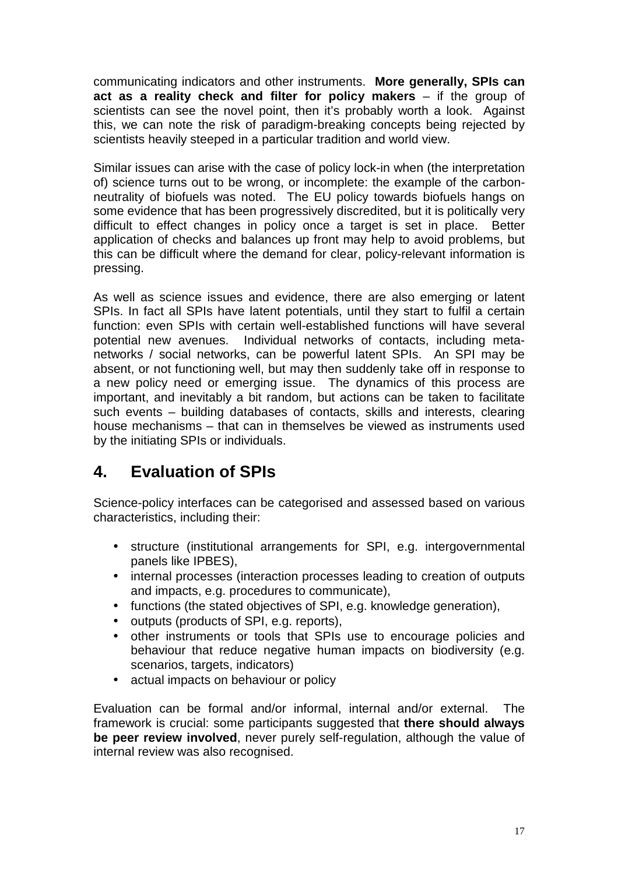communicating indicators and other instruments. **More generally, SPIs can act as a reality check and filter for policy makers** – if the group of scientists can see the novel point, then it's probably worth a look. Against this, we can note the risk of paradigm-breaking concepts being rejected by scientists heavily steeped in a particular tradition and world view.

Similar issues can arise with the case of policy lock-in when (the interpretation of) science turns out to be wrong, or incomplete: the example of the carbonneutrality of biofuels was noted. The EU policy towards biofuels hangs on some evidence that has been progressively discredited, but it is politically very difficult to effect changes in policy once a target is set in place. Better application of checks and balances up front may help to avoid problems, but this can be difficult where the demand for clear, policy-relevant information is pressing.

As well as science issues and evidence, there are also emerging or latent SPIs. In fact all SPIs have latent potentials, until they start to fulfil a certain function: even SPIs with certain well-established functions will have several potential new avenues. Individual networks of contacts, including metanetworks / social networks, can be powerful latent SPIs. An SPI may be absent, or not functioning well, but may then suddenly take off in response to a new policy need or emerging issue. The dynamics of this process are important, and inevitably a bit random, but actions can be taken to facilitate such events – building databases of contacts, skills and interests, clearing house mechanisms – that can in themselves be viewed as instruments used by the initiating SPIs or individuals.

# **4. Evaluation of SPIs**

Science-policy interfaces can be categorised and assessed based on various characteristics, including their:

- structure (institutional arrangements for SPI, e.g. intergovernmental panels like IPBES),
- internal processes (interaction processes leading to creation of outputs and impacts, e.g. procedures to communicate),
- functions (the stated objectives of SPI, e.g. knowledge generation),
- outputs (products of SPI, e.g. reports),
- other instruments or tools that SPIs use to encourage policies and behaviour that reduce negative human impacts on biodiversity (e.g. scenarios, targets, indicators)
- actual impacts on behaviour or policy

Evaluation can be formal and/or informal, internal and/or external. The framework is crucial: some participants suggested that **there should always be peer review involved**, never purely self-regulation, although the value of internal review was also recognised.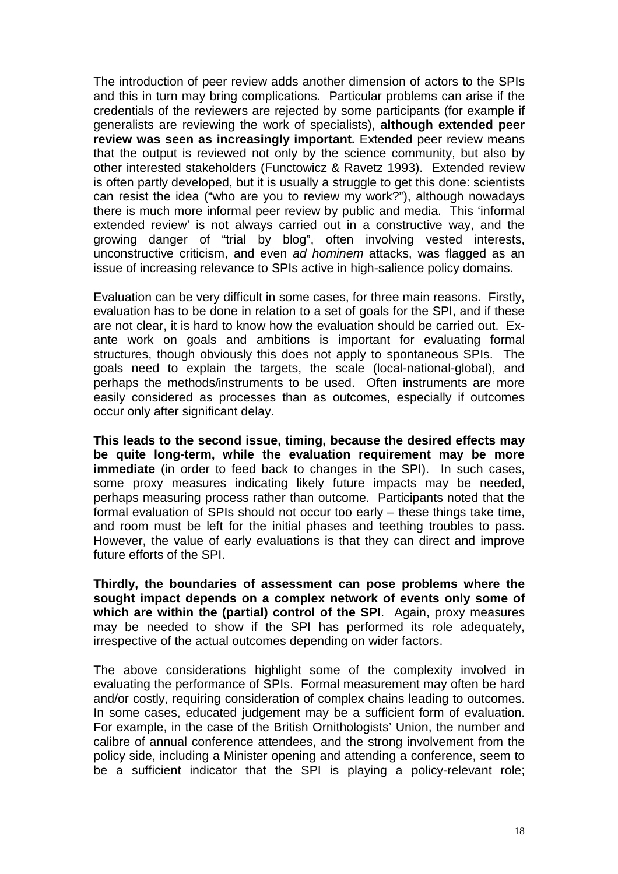The introduction of peer review adds another dimension of actors to the SPIs and this in turn may bring complications. Particular problems can arise if the credentials of the reviewers are rejected by some participants (for example if generalists are reviewing the work of specialists), **although extended peer review was seen as increasingly important.** Extended peer review means that the output is reviewed not only by the science community, but also by other interested stakeholders (Functowicz & Ravetz 1993). Extended review is often partly developed, but it is usually a struggle to get this done: scientists can resist the idea ("who are you to review my work?"), although nowadays there is much more informal peer review by public and media. This 'informal extended review' is not always carried out in a constructive way, and the growing danger of "trial by blog", often involving vested interests, unconstructive criticism, and even ad hominem attacks, was flagged as an issue of increasing relevance to SPIs active in high-salience policy domains.

Evaluation can be very difficult in some cases, for three main reasons. Firstly, evaluation has to be done in relation to a set of goals for the SPI, and if these are not clear, it is hard to know how the evaluation should be carried out. Exante work on goals and ambitions is important for evaluating formal structures, though obviously this does not apply to spontaneous SPIs. The goals need to explain the targets, the scale (local-national-global), and perhaps the methods/instruments to be used. Often instruments are more easily considered as processes than as outcomes, especially if outcomes occur only after significant delay.

**This leads to the second issue, timing, because the desired effects may be quite long-term, while the evaluation requirement may be more immediate** (in order to feed back to changes in the SPI). In such cases, some proxy measures indicating likely future impacts may be needed, perhaps measuring process rather than outcome. Participants noted that the formal evaluation of SPIs should not occur too early – these things take time, and room must be left for the initial phases and teething troubles to pass. However, the value of early evaluations is that they can direct and improve future efforts of the SPI.

**Thirdly, the boundaries of assessment can pose problems where the sought impact depends on a complex network of events only some of which are within the (partial) control of the SPI**. Again, proxy measures may be needed to show if the SPI has performed its role adequately, irrespective of the actual outcomes depending on wider factors.

The above considerations highlight some of the complexity involved in evaluating the performance of SPIs. Formal measurement may often be hard and/or costly, requiring consideration of complex chains leading to outcomes. In some cases, educated judgement may be a sufficient form of evaluation. For example, in the case of the British Ornithologists' Union, the number and calibre of annual conference attendees, and the strong involvement from the policy side, including a Minister opening and attending a conference, seem to be a sufficient indicator that the SPI is playing a policy-relevant role;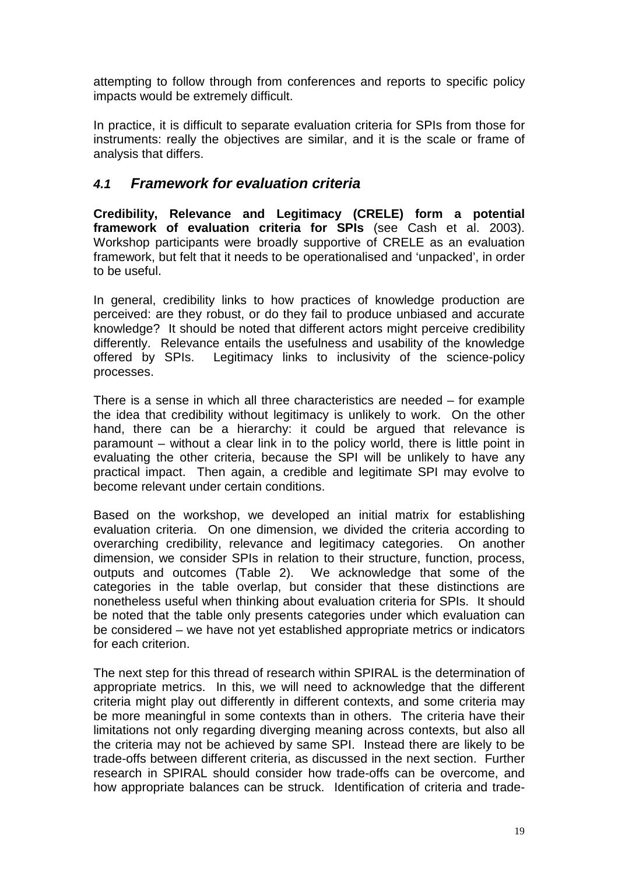attempting to follow through from conferences and reports to specific policy impacts would be extremely difficult.

In practice, it is difficult to separate evaluation criteria for SPIs from those for instruments: really the objectives are similar, and it is the scale or frame of analysis that differs.

### **4.1 Framework for evaluation criteria**

**Credibility, Relevance and Legitimacy (CRELE) form a potential framework of evaluation criteria for SPIs** (see Cash et al. 2003). Workshop participants were broadly supportive of CRELE as an evaluation framework, but felt that it needs to be operationalised and 'unpacked', in order to be useful.

In general, credibility links to how practices of knowledge production are perceived: are they robust, or do they fail to produce unbiased and accurate knowledge? It should be noted that different actors might perceive credibility differently. Relevance entails the usefulness and usability of the knowledge offered by SPIs. Legitimacy links to inclusivity of the science-policy processes.

There is a sense in which all three characteristics are needed – for example the idea that credibility without legitimacy is unlikely to work. On the other hand, there can be a hierarchy: it could be argued that relevance is paramount – without a clear link in to the policy world, there is little point in evaluating the other criteria, because the SPI will be unlikely to have any practical impact. Then again, a credible and legitimate SPI may evolve to become relevant under certain conditions.

Based on the workshop, we developed an initial matrix for establishing evaluation criteria. On one dimension, we divided the criteria according to overarching credibility, relevance and legitimacy categories. On another dimension, we consider SPIs in relation to their structure, function, process, outputs and outcomes (Table 2). We acknowledge that some of the categories in the table overlap, but consider that these distinctions are nonetheless useful when thinking about evaluation criteria for SPIs. It should be noted that the table only presents categories under which evaluation can be considered – we have not yet established appropriate metrics or indicators for each criterion.

The next step for this thread of research within SPIRAL is the determination of appropriate metrics. In this, we will need to acknowledge that the different criteria might play out differently in different contexts, and some criteria may be more meaningful in some contexts than in others. The criteria have their limitations not only regarding diverging meaning across contexts, but also all the criteria may not be achieved by same SPI. Instead there are likely to be trade-offs between different criteria, as discussed in the next section. Further research in SPIRAL should consider how trade-offs can be overcome, and how appropriate balances can be struck. Identification of criteria and trade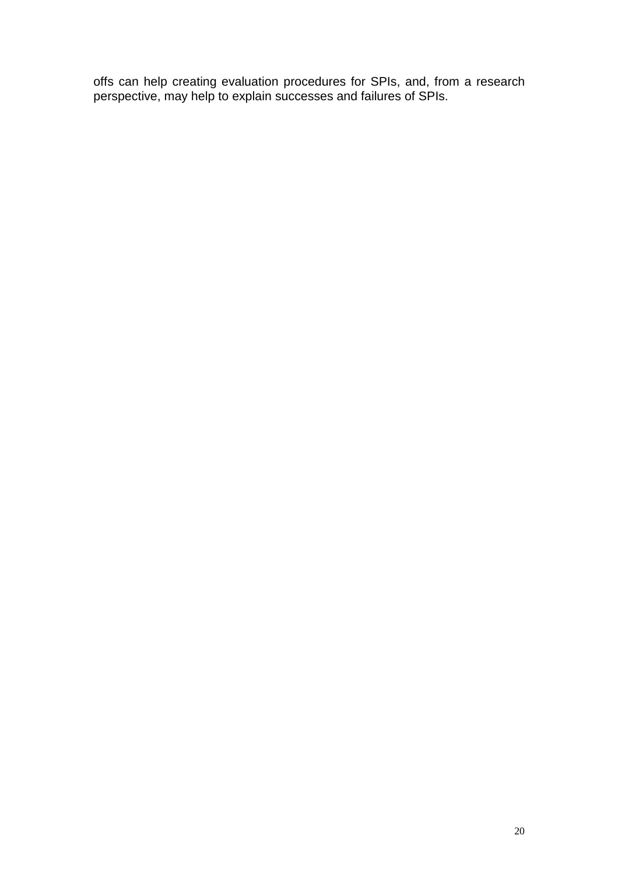offs can help creating evaluation procedures for SPIs, and, from a research perspective, may help to explain successes and failures of SPIs.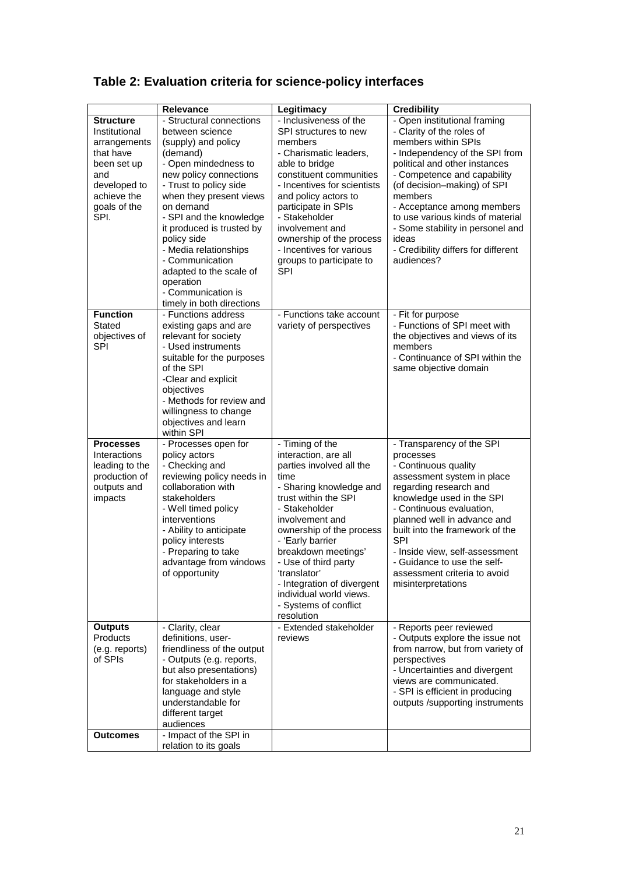|                                                                                                                                             | Relevance                                                                                                                                                                                                                                                                                                                                                                                                        | Legitimacy                                                                                                                                                                                                                                                                                                                                                                        | <b>Credibility</b>                                                                                                                                                                                                                                                                                                                                                                               |
|---------------------------------------------------------------------------------------------------------------------------------------------|------------------------------------------------------------------------------------------------------------------------------------------------------------------------------------------------------------------------------------------------------------------------------------------------------------------------------------------------------------------------------------------------------------------|-----------------------------------------------------------------------------------------------------------------------------------------------------------------------------------------------------------------------------------------------------------------------------------------------------------------------------------------------------------------------------------|--------------------------------------------------------------------------------------------------------------------------------------------------------------------------------------------------------------------------------------------------------------------------------------------------------------------------------------------------------------------------------------------------|
| <b>Structure</b><br>Institutional<br>arrangements<br>that have<br>been set up<br>and<br>developed to<br>achieve the<br>goals of the<br>SPI. | - Structural connections<br>between science<br>(supply) and policy<br>(demand)<br>- Open mindedness to<br>new policy connections<br>- Trust to policy side<br>when they present views<br>on demand<br>- SPI and the knowledge<br>it produced is trusted by<br>policy side<br>- Media relationships<br>- Communication<br>adapted to the scale of<br>operation<br>- Communication is<br>timely in both directions | - Inclusiveness of the<br>SPI structures to new<br>members<br>- Charismatic leaders,<br>able to bridge<br>constituent communities<br>- Incentives for scientists<br>and policy actors to<br>participate in SPIs<br>- Stakeholder<br>involvement and<br>ownership of the process<br>- Incentives for various<br>groups to participate to<br>SPI                                    | - Open institutional framing<br>- Clarity of the roles of<br>members within SPIs<br>- Independency of the SPI from<br>political and other instances<br>- Competence and capability<br>(of decision-making) of SPI<br>members<br>- Acceptance among members<br>to use various kinds of material<br>- Some stability in personel and<br>ideas<br>- Credibility differs for different<br>audiences? |
| <b>Function</b><br>Stated<br>objectives of<br><b>SPI</b>                                                                                    | - Functions address<br>existing gaps and are<br>relevant for society<br>- Used instruments<br>suitable for the purposes<br>of the SPI<br>-Clear and explicit<br>objectives<br>- Methods for review and<br>willingness to change<br>objectives and learn<br>within SPI                                                                                                                                            | - Functions take account<br>variety of perspectives                                                                                                                                                                                                                                                                                                                               | - Fit for purpose<br>- Functions of SPI meet with<br>the objectives and views of its<br>members<br>- Continuance of SPI within the<br>same objective domain                                                                                                                                                                                                                                      |
| <b>Processes</b><br>Interactions<br>leading to the<br>production of<br>outputs and<br>impacts                                               | - Processes open for<br>policy actors<br>- Checking and<br>reviewing policy needs in<br>collaboration with<br>stakeholders<br>- Well timed policy<br>interventions<br>- Ability to anticipate<br>policy interests<br>- Preparing to take<br>advantage from windows<br>of opportunity                                                                                                                             | - Timing of the<br>interaction, are all<br>parties involved all the<br>time<br>- Sharing knowledge and<br>trust within the SPI<br>- Stakeholder<br>involvement and<br>ownership of the process<br>- 'Early barrier<br>breakdown meetings'<br>- Use of third party<br>'translator'<br>- Integration of divergent<br>individual world views.<br>- Systems of conflict<br>resolution | - Transparency of the SPI<br>processes<br>- Continuous quality<br>assessment system in place<br>regarding research and<br>knowledge used in the SPI<br>- Continuous evaluation,<br>planned well in advance and<br>built into the framework of the<br><b>SPI</b><br>- Inside view, self-assessment<br>- Guidance to use the self-<br>assessment criteria to avoid<br>misinterpretations           |
| <b>Outputs</b><br>Products<br>(e.g. reports)<br>of SPIs                                                                                     | - Clarity, clear<br>definitions, user-<br>friendliness of the output<br>- Outputs (e.g. reports,<br>but also presentations)<br>for stakeholders in a<br>language and style<br>understandable for<br>different target<br>audiences                                                                                                                                                                                | - Extended stakeholder<br>reviews                                                                                                                                                                                                                                                                                                                                                 | - Reports peer reviewed<br>- Outputs explore the issue not<br>from narrow, but from variety of<br>perspectives<br>- Uncertainties and divergent<br>views are communicated.<br>- SPI is efficient in producing<br>outputs /supporting instruments                                                                                                                                                 |
| <b>Outcomes</b>                                                                                                                             | - Impact of the SPI in<br>relation to its goals                                                                                                                                                                                                                                                                                                                                                                  |                                                                                                                                                                                                                                                                                                                                                                                   |                                                                                                                                                                                                                                                                                                                                                                                                  |

# **Table 2: Evaluation criteria for science-policy interfaces**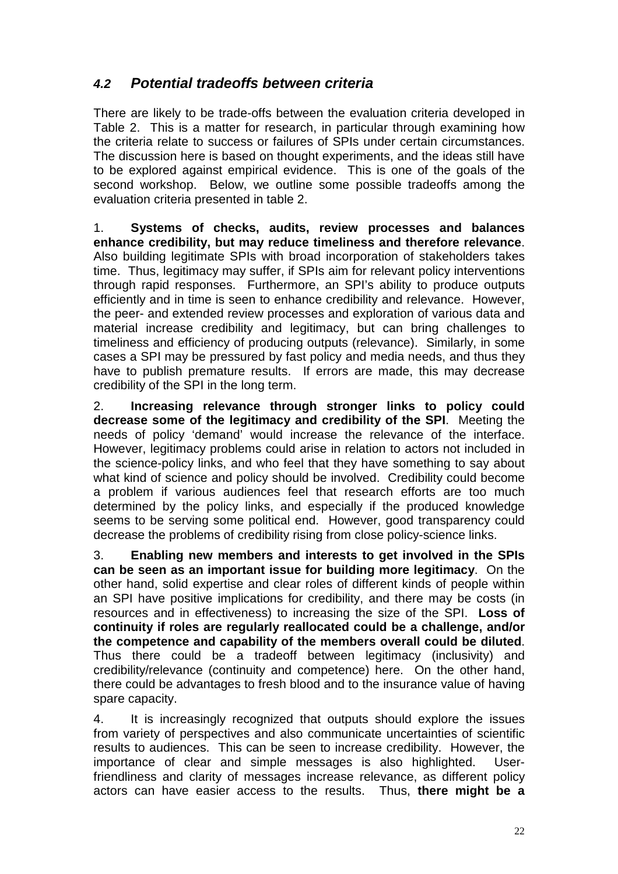### **4.2 Potential tradeoffs between criteria**

There are likely to be trade-offs between the evaluation criteria developed in Table 2. This is a matter for research, in particular through examining how the criteria relate to success or failures of SPIs under certain circumstances. The discussion here is based on thought experiments, and the ideas still have to be explored against empirical evidence. This is one of the goals of the second workshop. Below, we outline some possible tradeoffs among the evaluation criteria presented in table 2.

1. **Systems of checks, audits, review processes and balances enhance credibility, but may reduce timeliness and therefore relevance**. Also building legitimate SPIs with broad incorporation of stakeholders takes time. Thus, legitimacy may suffer, if SPIs aim for relevant policy interventions through rapid responses. Furthermore, an SPI's ability to produce outputs efficiently and in time is seen to enhance credibility and relevance. However, the peer- and extended review processes and exploration of various data and material increase credibility and legitimacy, but can bring challenges to timeliness and efficiency of producing outputs (relevance). Similarly, in some cases a SPI may be pressured by fast policy and media needs, and thus they have to publish premature results. If errors are made, this may decrease credibility of the SPI in the long term.

2. **Increasing relevance through stronger links to policy could decrease some of the legitimacy and credibility of the SPI**. Meeting the needs of policy 'demand' would increase the relevance of the interface. However, legitimacy problems could arise in relation to actors not included in the science-policy links, and who feel that they have something to say about what kind of science and policy should be involved. Credibility could become a problem if various audiences feel that research efforts are too much determined by the policy links, and especially if the produced knowledge seems to be serving some political end. However, good transparency could decrease the problems of credibility rising from close policy-science links.

3. **Enabling new members and interests to get involved in the SPIs can be seen as an important issue for building more legitimacy**. On the other hand, solid expertise and clear roles of different kinds of people within an SPI have positive implications for credibility, and there may be costs (in resources and in effectiveness) to increasing the size of the SPI. **Loss of continuity if roles are regularly reallocated could be a challenge, and/or the competence and capability of the members overall could be diluted**. Thus there could be a tradeoff between legitimacy (inclusivity) and credibility/relevance (continuity and competence) here. On the other hand, there could be advantages to fresh blood and to the insurance value of having spare capacity.

4. It is increasingly recognized that outputs should explore the issues from variety of perspectives and also communicate uncertainties of scientific results to audiences. This can be seen to increase credibility. However, the importance of clear and simple messages is also highlighted. Userfriendliness and clarity of messages increase relevance, as different policy actors can have easier access to the results. Thus, **there might be a**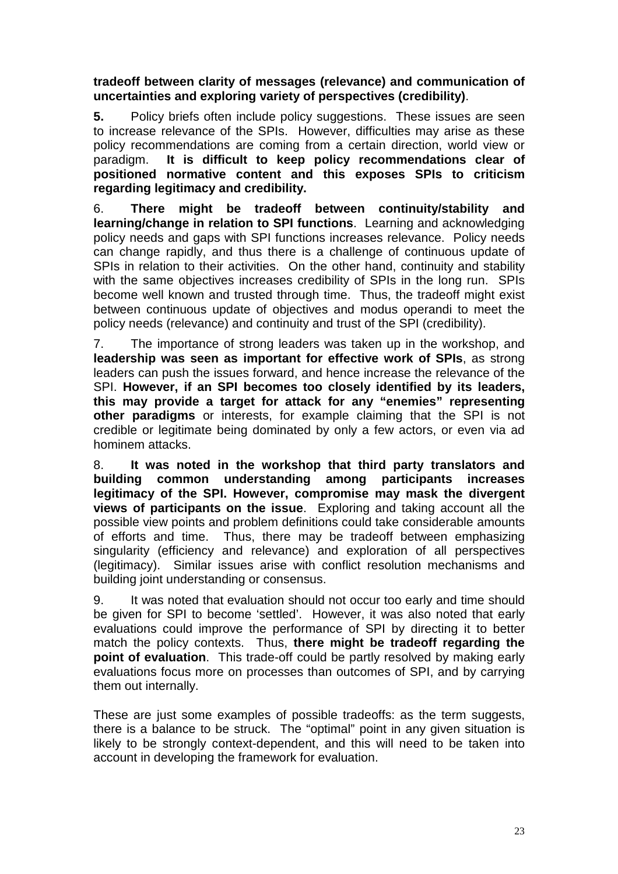#### **tradeoff between clarity of messages (relevance) and communication of uncertainties and exploring variety of perspectives (credibility)**.

**5.** Policy briefs often include policy suggestions. These issues are seen to increase relevance of the SPIs. However, difficulties may arise as these policy recommendations are coming from a certain direction, world view or paradigm. **It is difficult to keep policy recommendations clear of positioned normative content and this exposes SPIs to criticism regarding legitimacy and credibility.** 

6. **There might be tradeoff between continuity/stability and learning/change in relation to SPI functions**. Learning and acknowledging policy needs and gaps with SPI functions increases relevance. Policy needs can change rapidly, and thus there is a challenge of continuous update of SPIs in relation to their activities. On the other hand, continuity and stability with the same objectives increases credibility of SPIs in the long run. SPIs become well known and trusted through time. Thus, the tradeoff might exist between continuous update of objectives and modus operandi to meet the policy needs (relevance) and continuity and trust of the SPI (credibility).

7. The importance of strong leaders was taken up in the workshop, and **leadership was seen as important for effective work of SPIs**, as strong leaders can push the issues forward, and hence increase the relevance of the SPI. **However, if an SPI becomes too closely identified by its leaders, this may provide a target for attack for any "enemies" representing other paradigms** or interests, for example claiming that the SPI is not credible or legitimate being dominated by only a few actors, or even via ad hominem attacks.

8. **It was noted in the workshop that third party translators and building common understanding among participants increases legitimacy of the SPI. However, compromise may mask the divergent views of participants on the issue**. Exploring and taking account all the possible view points and problem definitions could take considerable amounts of efforts and time. Thus, there may be tradeoff between emphasizing singularity (efficiency and relevance) and exploration of all perspectives (legitimacy). Similar issues arise with conflict resolution mechanisms and building joint understanding or consensus.

9. It was noted that evaluation should not occur too early and time should be given for SPI to become 'settled'. However, it was also noted that early evaluations could improve the performance of SPI by directing it to better match the policy contexts. Thus, **there might be tradeoff regarding the point of evaluation**. This trade-off could be partly resolved by making early evaluations focus more on processes than outcomes of SPI, and by carrying them out internally.

These are just some examples of possible tradeoffs: as the term suggests, there is a balance to be struck. The "optimal" point in any given situation is likely to be strongly context-dependent, and this will need to be taken into account in developing the framework for evaluation.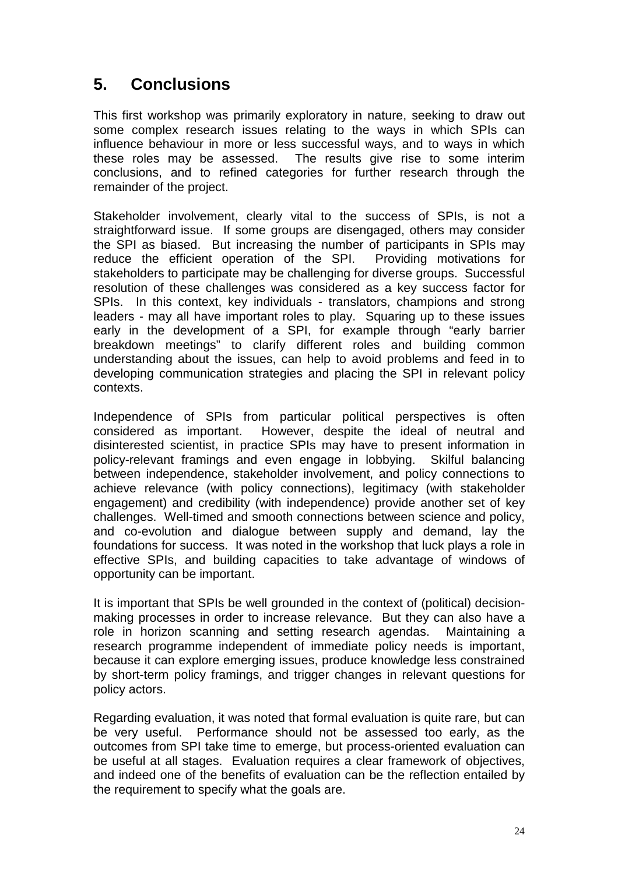# **5. Conclusions**

This first workshop was primarily exploratory in nature, seeking to draw out some complex research issues relating to the ways in which SPIs can influence behaviour in more or less successful ways, and to ways in which these roles may be assessed. The results give rise to some interim conclusions, and to refined categories for further research through the remainder of the project.

Stakeholder involvement, clearly vital to the success of SPIs, is not a straightforward issue. If some groups are disengaged, others may consider the SPI as biased. But increasing the number of participants in SPIs may reduce the efficient operation of the SPI. Providing motivations for stakeholders to participate may be challenging for diverse groups. Successful resolution of these challenges was considered as a key success factor for SPIs. In this context, key individuals - translators, champions and strong leaders - may all have important roles to play. Squaring up to these issues early in the development of a SPI, for example through "early barrier breakdown meetings" to clarify different roles and building common understanding about the issues, can help to avoid problems and feed in to developing communication strategies and placing the SPI in relevant policy contexts.

Independence of SPIs from particular political perspectives is often considered as important. However, despite the ideal of neutral and disinterested scientist, in practice SPIs may have to present information in policy-relevant framings and even engage in lobbying. Skilful balancing between independence, stakeholder involvement, and policy connections to achieve relevance (with policy connections), legitimacy (with stakeholder engagement) and credibility (with independence) provide another set of key challenges. Well-timed and smooth connections between science and policy, and co-evolution and dialogue between supply and demand, lay the foundations for success. It was noted in the workshop that luck plays a role in effective SPIs, and building capacities to take advantage of windows of opportunity can be important.

It is important that SPIs be well grounded in the context of (political) decisionmaking processes in order to increase relevance. But they can also have a role in horizon scanning and setting research agendas. Maintaining a research programme independent of immediate policy needs is important, because it can explore emerging issues, produce knowledge less constrained by short-term policy framings, and trigger changes in relevant questions for policy actors.

Regarding evaluation, it was noted that formal evaluation is quite rare, but can be very useful. Performance should not be assessed too early, as the outcomes from SPI take time to emerge, but process-oriented evaluation can be useful at all stages. Evaluation requires a clear framework of objectives, and indeed one of the benefits of evaluation can be the reflection entailed by the requirement to specify what the goals are.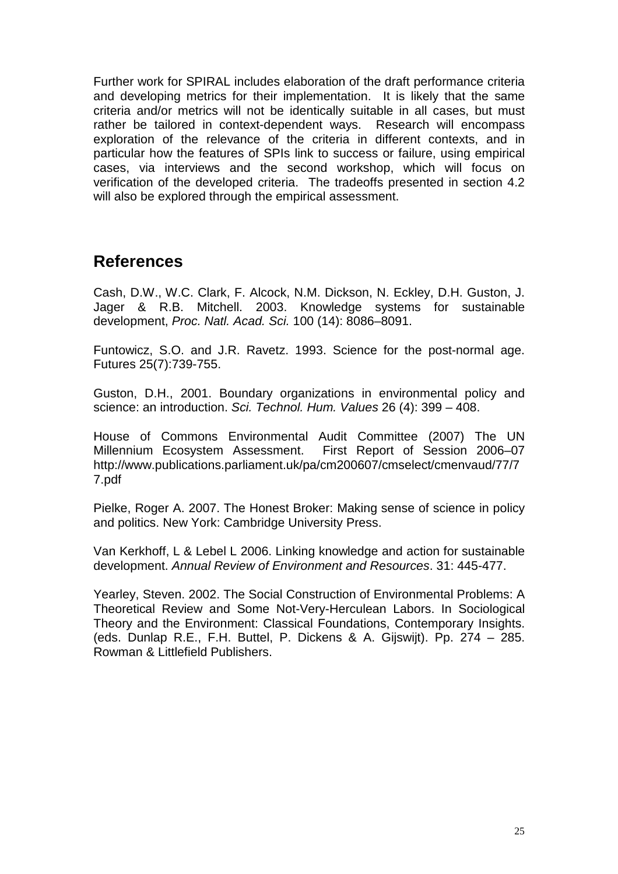Further work for SPIRAL includes elaboration of the draft performance criteria and developing metrics for their implementation. It is likely that the same criteria and/or metrics will not be identically suitable in all cases, but must rather be tailored in context-dependent ways. Research will encompass exploration of the relevance of the criteria in different contexts, and in particular how the features of SPIs link to success or failure, using empirical cases, via interviews and the second workshop, which will focus on verification of the developed criteria. The tradeoffs presented in section 4.2 will also be explored through the empirical assessment.

### **References**

Cash, D.W., W.C. Clark, F. Alcock, N.M. Dickson, N. Eckley, D.H. Guston, J. Jager & R.B. Mitchell. 2003. Knowledge systems for sustainable development, Proc. Natl. Acad. Sci. 100 (14): 8086–8091.

Funtowicz, S.O. and J.R. Ravetz. 1993. Science for the post-normal age. Futures 25(7):739-755.

Guston, D.H., 2001. Boundary organizations in environmental policy and science: an introduction. Sci. Technol. Hum. Values 26 (4): 399 – 408.

House of Commons Environmental Audit Committee (2007) The UN Millennium Ecosystem Assessment. First Report of Session 2006–07 http://www.publications.parliament.uk/pa/cm200607/cmselect/cmenvaud/77/7 7.pdf

Pielke, Roger A. 2007. The Honest Broker: Making sense of science in policy and politics. New York: Cambridge University Press.

Van Kerkhoff, L & Lebel L 2006. Linking knowledge and action for sustainable development. Annual Review of Environment and Resources. 31: 445-477.

Yearley, Steven. 2002. The Social Construction of Environmental Problems: A Theoretical Review and Some Not-Very-Herculean Labors. In Sociological Theory and the Environment: Classical Foundations, Contemporary Insights. (eds. Dunlap R.E., F.H. Buttel, P. Dickens & A. Gijswijt). Pp. 274 – 285. Rowman & Littlefield Publishers.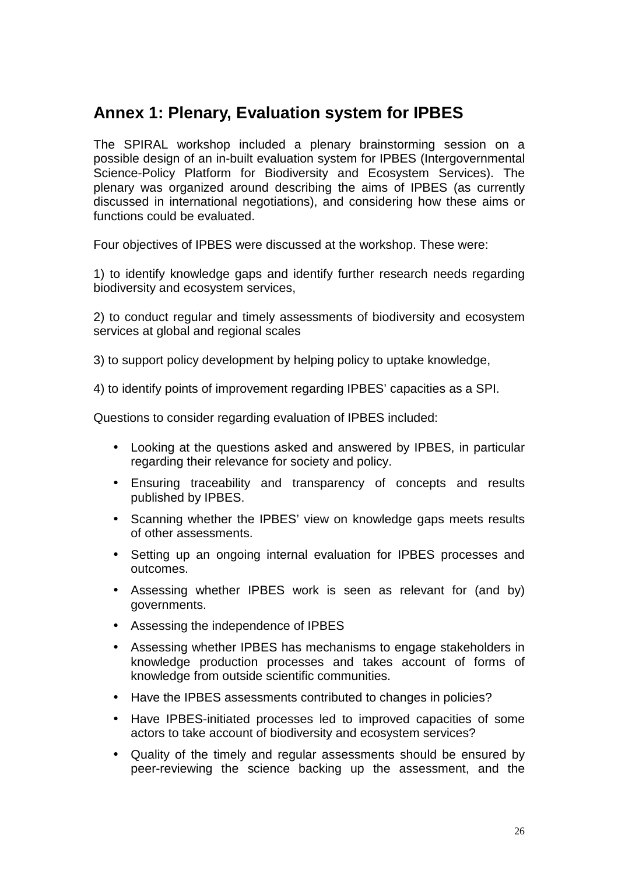## **Annex 1: Plenary, Evaluation system for IPBES**

The SPIRAL workshop included a plenary brainstorming session on a possible design of an in-built evaluation system for IPBES (Intergovernmental Science-Policy Platform for Biodiversity and Ecosystem Services). The plenary was organized around describing the aims of IPBES (as currently discussed in international negotiations), and considering how these aims or functions could be evaluated.

Four objectives of IPBES were discussed at the workshop. These were:

1) to identify knowledge gaps and identify further research needs regarding biodiversity and ecosystem services,

2) to conduct regular and timely assessments of biodiversity and ecosystem services at global and regional scales

3) to support policy development by helping policy to uptake knowledge,

4) to identify points of improvement regarding IPBES' capacities as a SPI.

Questions to consider regarding evaluation of IPBES included:

- Looking at the questions asked and answered by IPBES, in particular regarding their relevance for society and policy.
- Ensuring traceability and transparency of concepts and results published by IPBES.
- Scanning whether the IPBES' view on knowledge gaps meets results of other assessments.
- Setting up an ongoing internal evaluation for IPBES processes and outcomes.
- Assessing whether IPBES work is seen as relevant for (and by) governments.
- Assessing the independence of IPBES
- Assessing whether IPBES has mechanisms to engage stakeholders in knowledge production processes and takes account of forms of knowledge from outside scientific communities.
- Have the IPBES assessments contributed to changes in policies?
- Have IPBES-initiated processes led to improved capacities of some actors to take account of biodiversity and ecosystem services?
- Quality of the timely and regular assessments should be ensured by peer-reviewing the science backing up the assessment, and the